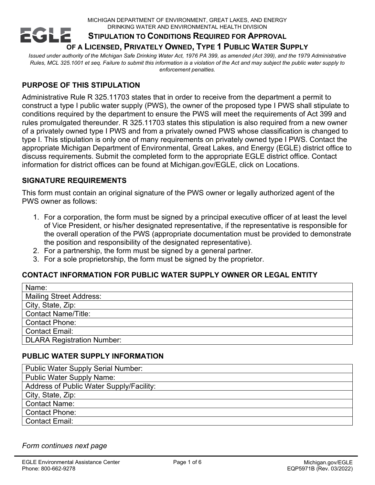#### MICHIGAN DEPARTMENT OF ENVIRONMENT, GREAT LAKES, AND ENERGY DRINKING WATER AND ENVIRONMENTAL HEALTH DIVISION **EGLE STIPULATION TO CONDITIONS REQUIRED FOR APPROVAL OF A LICENSED, PRIVATELY OWNED, TYPE 1 PUBLIC WATER SUPPLY**

*Issued under authority of the Michigan Safe Drinking Water Act, 1976 PA 399, as amended (Act 399), and the 1979 Administrative Rules, MCL 325.1001 et seq. Failure to submit this information is a violation of the Act and may subject the public water supply to enforcement penalties.*

# **PURPOSE OF THIS STIPULATION**

Administrative Rule R 325.11703 states that in order to receive from the department a permit to construct a type I public water supply (PWS), the owner of the proposed type I PWS shall stipulate to conditions required by the department to ensure the PWS will meet the requirements of Act 399 and rules promulgated thereunder. R 325.11703 states this stipulation is also required from a new owner of a privately owned type I PWS and from a privately owned PWS whose classification is changed to type I. This stipulation is only one of many requirements on privately owned type I PWS. Contact the appropriate Michigan Department of Environmental, Great Lakes, and Energy (EGLE) district office to discuss requirements. Submit the completed form to the appropriate EGLE district office. Contact information for district offices can be found at Michigan.gov/EGLE, click on Locations.

#### **SIGNATURE REQUIREMENTS**

This form must contain an original signature of the PWS owner or legally authorized agent of the PWS owner as follows:

- 1. For a corporation, the form must be signed by a principal executive officer of at least the level of Vice President, or his/her designated representative, if the representative is responsible for the overall operation of the PWS (appropriate documentation must be provided to demonstrate the position and responsibility of the designated representative).
- 2. For a partnership, the form must be signed by a general partner.
- 3. For a sole proprietorship, the form must be signed by the proprietor.

# **CONTACT INFORMATION FOR PUBLIC WATER SUPPLY OWNER OR LEGAL ENTITY**

| Name:                             |
|-----------------------------------|
| <b>Mailing Street Address:</b>    |
| City, State, Zip:                 |
| <b>Contact Name/Title:</b>        |
| <b>Contact Phone:</b>             |
| <b>Contact Email:</b>             |
| <b>DLARA Registration Number:</b> |

# **PUBLIC WATER SUPPLY INFORMATION**

| <b>Public Water Supply Serial Number:</b> |
|-------------------------------------------|
| <b>Public Water Supply Name:</b>          |
| Address of Public Water Supply/Facility:  |
| City, State, Zip:                         |
| <b>Contact Name:</b>                      |
| <b>Contact Phone:</b>                     |
| <b>Contact Email:</b>                     |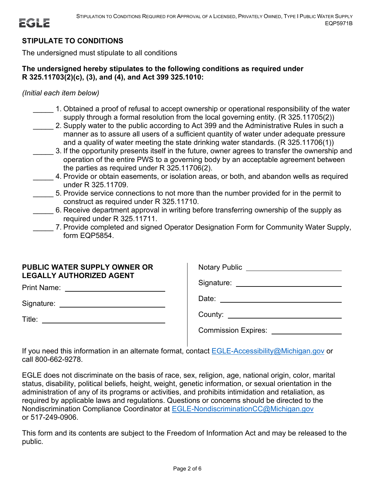# **STIPULATE TO CONDITIONS**

The undersigned must stipulate to all conditions

#### **The undersigned hereby stipulates to the following conditions as required under R 325.11703(2)(c), (3), and (4), and Act 399 325.1010:**

*(Initial each item below)*

- \_\_\_\_\_ 1. Obtained a proof of refusal to accept ownership or operational responsibility of the water supply through a formal resolution from the local governing entity. (R 325.11705(2))
- 2. Supply water to the public according to Act 399 and the Administrative Rules in such a manner as to assure all users of a sufficient quantity of water under adequate pressure and a quality of water meeting the state drinking water standards. (R 325.11706(1))
- 3. If the opportunity presents itself in the future, owner agrees to transfer the ownership and operation of the entire PWS to a governing body by an acceptable agreement between the parties as required under R 325.11706(2).
- 4. Provide or obtain easements, or isolation areas, or both, and abandon wells as required under R 325.11709.
- \_\_\_\_\_ 5. Provide service connections to not more than the number provided for in the permit to construct as required under R 325.11710.
- 6. Receive department approval in writing before transferring ownership of the supply as required under R 325.11711.
- 7. Provide completed and signed Operator Designation Form for Community Water Supply, form EQP5854.

# **PUBLIC WATER SUPPLY OWNER OR LEGALLY AUTHORIZED AGENT**

Print Name: University of Print Name:

Signature:

Title:

| <b>Notary Public</b>         |  |
|------------------------------|--|
| Signature: ___               |  |
| Date: <u>_______________</u> |  |
| County: $\sqrt{2}$           |  |
| <b>Commission Expires:</b>   |  |

If you need this information in an alternate format, contact [EGLE-Accessibility@Michigan.gov](mailto:EGLE-Accessibility@Michigan.gov) or call 800-662-9278.

EGLE does not discriminate on the basis of race, sex, religion, age, national origin, color, marital status, disability, political beliefs, height, weight, genetic information, or sexual orientation in the administration of any of its programs or activities, and prohibits intimidation and retaliation, as required by applicable laws and regulations. Questions or concerns should be directed to the Nondiscrimination Compliance Coordinator at [EGLE-NondiscriminationCC@Michigan.gov](mailto:EGLE-NondiscriminationCC@Michigan.gov) or 517-249-0906.

This form and its contents are subject to the Freedom of Information Act and may be released to the public.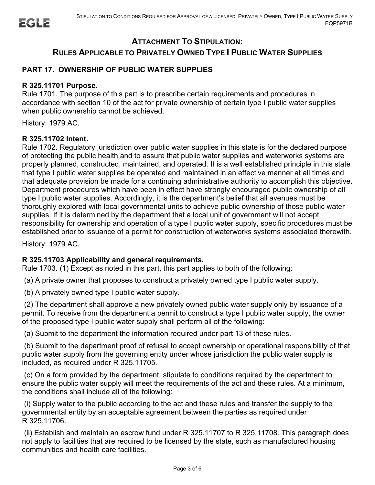# **ATTACHMENT TO STIPULATION: RULES APPLICABLE TO PRIVATELY OWNED TYPE I PUBLIC WATER SUPPLIES**

# **PART 17. OWNERSHIP OF PUBLIC WATER SUPPLIES**

#### **R 325.11701 Purpose.**

Rule 1701. The purpose of this part is to prescribe certain requirements and procedures in accordance with section 10 of the act for private ownership of certain type I public water supplies when public ownership cannot be achieved.

History: 1979 AC.

#### **R 325.11702 Intent.**

Rule 1702. Regulatory jurisdiction over public water supplies in this state is for the declared purpose of protecting the public health and to assure that public water supplies and waterworks systems are properly planned, constructed, maintained, and operated. It is a well established principle in this state that type I public water supplies be operated and maintained in an effective manner at all times and that adequate provision be made for a continuing administrative authority to accomplish this objective. Department procedures which have been in effect have strongly encouraged public ownership of all type I public water supplies. Accordingly, it is the department's belief that all avenues must be thoroughly explored with local governmental units to achieve public ownership of those public water supplies. If it is determined by the department that a local unit of government will not accept responsibility for ownership and operation of a type I public water supply, specific procedures must be established prior to issuance of a permit for construction of waterworks systems associated therewith.

History: 1979 AC.

#### **R 325.11703 Applicability and general requirements.**

Rule 1703. (1) Except as noted in this part, this part applies to both of the following:

(a) A private owner that proposes to construct a privately owned type I public water supply.

(b) A privately owned type I public water supply.

(2) The department shall approve a new privately owned public water supply only by issuance of a permit. To receive from the department a permit to construct a type I public water supply, the owner of the proposed type I public water supply shall perform all of the following:

(a) Submit to the department the information required under part 13 of these rules.

(b) Submit to the department proof of refusal to accept ownership or operational responsibility of that public water supply from the governing entity under whose jurisdiction the public water supply is included, as required under R 325.11705.

(c) On a form provided by the department, stipulate to conditions required by the department to ensure the public water supply will meet the requirements of the act and these rules. At a minimum, the conditions shall include all of the following:

(i) Supply water to the public according to the act and these rules and transfer the supply to the governmental entity by an acceptable agreement between the parties as required under R 325.11706.

(ii) Establish and maintain an escrow fund under R 325.11707 to R 325.11708. This paragraph does not apply to facilities that are required to be licensed by the state, such as manufactured housing communities and health care facilities.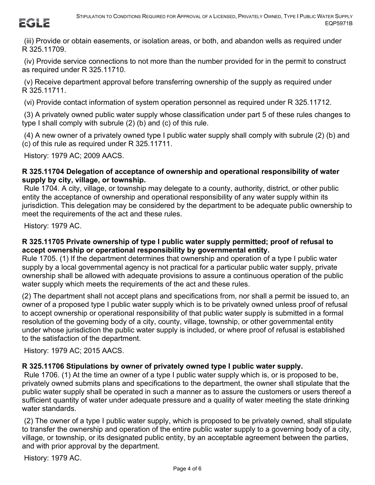

(iii) Provide or obtain easements, or isolation areas, or both, and abandon wells as required under R 325.11709.

(iv) Provide service connections to not more than the number provided for in the permit to construct as required under R 325.11710.

(v) Receive department approval before transferring ownership of the supply as required under R 325.11711.

(vi) Provide contact information of system operation personnel as required under R 325.11712.

(3) A privately owned public water supply whose classification under part 5 of these rules changes to type I shall comply with subrule (2) (b) and (c) of this rule.

(4) A new owner of a privately owned type I public water supply shall comply with subrule (2) (b) and (c) of this rule as required under R 325.11711.

History: 1979 AC; 2009 AACS.

#### **R 325.11704 Delegation of acceptance of ownership and operational responsibility of water supply by city, village, or township.**

Rule 1704. A city, village, or township may delegate to a county, authority, district, or other public entity the acceptance of ownership and operational responsibility of any water supply within its jurisdiction. This delegation may be considered by the department to be adequate public ownership to meet the requirements of the act and these rules.

History: 1979 AC.

#### **R 325.11705 Private ownership of type I public water supply permitted; proof of refusal to accept ownership or operational responsibility by governmental entity.**

Rule 1705. (1) If the department determines that ownership and operation of a type I public water supply by a local governmental agency is not practical for a particular public water supply, private ownership shall be allowed with adequate provisions to assure a continuous operation of the public water supply which meets the requirements of the act and these rules.

(2) The department shall not accept plans and specifications from, nor shall a permit be issued to, an owner of a proposed type I public water supply which is to be privately owned unless proof of refusal to accept ownership or operational responsibility of that public water supply is submitted in a formal resolution of the governing body of a city, county, village, township, or other governmental entity under whose jurisdiction the public water supply is included, or where proof of refusal is established to the satisfaction of the department.

History: 1979 AC; 2015 AACS.

# **R 325.11706 Stipulations by owner of privately owned type I public water supply.**

Rule 1706. (1) At the time an owner of a type I public water supply which is, or is proposed to be, privately owned submits plans and specifications to the department, the owner shall stipulate that the public water supply shall be operated in such a manner as to assure the customers or users thereof a sufficient quantity of water under adequate pressure and a quality of water meeting the state drinking water standards.

(2) The owner of a type I public water supply, which is proposed to be privately owned, shall stipulate to transfer the ownership and operation of the entire public water supply to a governing body of a city, village, or township, or its designated public entity, by an acceptable agreement between the parties, and with prior approval by the department.

History: 1979 AC.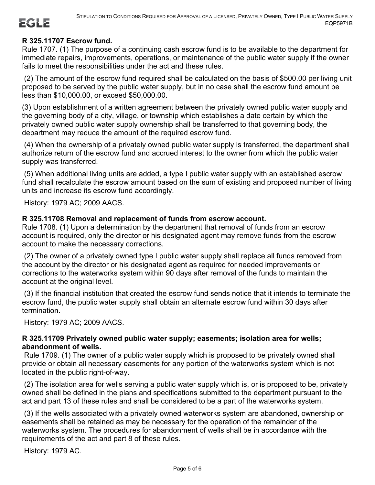# **R 325.11707 Escrow fund.**

Rule 1707. (1) The purpose of a continuing cash escrow fund is to be available to the department for immediate repairs, improvements, operations, or maintenance of the public water supply if the owner fails to meet the responsibilities under the act and these rules.

(2) The amount of the escrow fund required shall be calculated on the basis of \$500.00 per living unit proposed to be served by the public water supply, but in no case shall the escrow fund amount be less than \$10,000.00, or exceed \$50,000.00.

(3) Upon establishment of a written agreement between the privately owned public water supply and the governing body of a city, village, or township which establishes a date certain by which the privately owned public water supply ownership shall be transferred to that governing body, the department may reduce the amount of the required escrow fund.

(4) When the ownership of a privately owned public water supply is transferred, the department shall authorize return of the escrow fund and accrued interest to the owner from which the public water supply was transferred.

(5) When additional living units are added, a type I public water supply with an established escrow fund shall recalculate the escrow amount based on the sum of existing and proposed number of living units and increase its escrow fund accordingly.

History: 1979 AC; 2009 AACS.

#### **R 325.11708 Removal and replacement of funds from escrow account.**

Rule 1708. (1) Upon a determination by the department that removal of funds from an escrow account is required, only the director or his designated agent may remove funds from the escrow account to make the necessary corrections.

(2) The owner of a privately owned type I public water supply shall replace all funds removed from the account by the director or his designated agent as required for needed improvements or corrections to the waterworks system within 90 days after removal of the funds to maintain the account at the original level.

(3) If the financial institution that created the escrow fund sends notice that it intends to terminate the escrow fund, the public water supply shall obtain an alternate escrow fund within 30 days after termination.

History: 1979 AC; 2009 AACS.

### **R 325.11709 Privately owned public water supply; easements; isolation area for wells; abandonment of wells.**

Rule 1709. (1) The owner of a public water supply which is proposed to be privately owned shall provide or obtain all necessary easements for any portion of the waterworks system which is not located in the public right-of-way.

(2) The isolation area for wells serving a public water supply which is, or is proposed to be, privately owned shall be defined in the plans and specifications submitted to the department pursuant to the act and part 13 of these rules and shall be considered to be a part of the waterworks system.

(3) If the wells associated with a privately owned waterworks system are abandoned, ownership or easements shall be retained as may be necessary for the operation of the remainder of the waterworks system. The procedures for abandonment of wells shall be in accordance with the requirements of the act and part 8 of these rules.

History: 1979 AC.